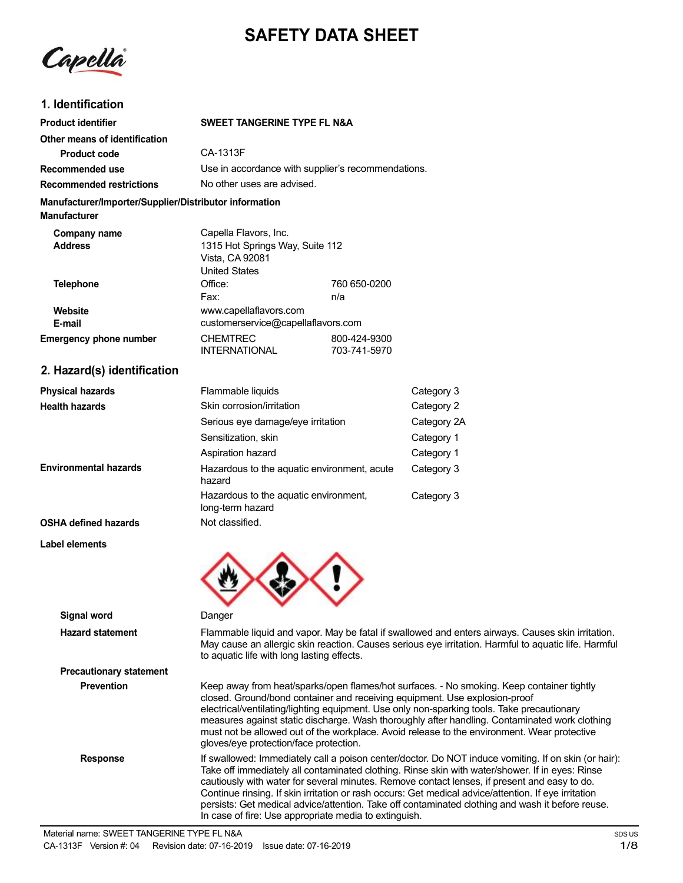# **SAFETY DATA SHEET**

Capella

### **1. Identification**

| <b>Product identifier</b>                                                     | SWEET TANGERINE TYPE FL N&A                                                                         |                              |                                                                                                                                                                                                                                                                                                                                                                                                                                                                       |
|-------------------------------------------------------------------------------|-----------------------------------------------------------------------------------------------------|------------------------------|-----------------------------------------------------------------------------------------------------------------------------------------------------------------------------------------------------------------------------------------------------------------------------------------------------------------------------------------------------------------------------------------------------------------------------------------------------------------------|
| Other means of identification                                                 |                                                                                                     |                              |                                                                                                                                                                                                                                                                                                                                                                                                                                                                       |
| <b>Product code</b>                                                           | CA-1313F                                                                                            |                              |                                                                                                                                                                                                                                                                                                                                                                                                                                                                       |
| Recommended use                                                               | Use in accordance with supplier's recommendations.                                                  |                              |                                                                                                                                                                                                                                                                                                                                                                                                                                                                       |
| <b>Recommended restrictions</b>                                               | No other uses are advised.                                                                          |                              |                                                                                                                                                                                                                                                                                                                                                                                                                                                                       |
| Manufacturer/Importer/Supplier/Distributor information<br><b>Manufacturer</b> |                                                                                                     |                              |                                                                                                                                                                                                                                                                                                                                                                                                                                                                       |
| Company name<br>Address                                                       | Capella Flavors, Inc.<br>1315 Hot Springs Way, Suite 112<br>Vista, CA 92081<br><b>United States</b> |                              |                                                                                                                                                                                                                                                                                                                                                                                                                                                                       |
| <b>Telephone</b>                                                              | Office:                                                                                             | 760 650-0200                 |                                                                                                                                                                                                                                                                                                                                                                                                                                                                       |
|                                                                               | Fax:                                                                                                | n/a                          |                                                                                                                                                                                                                                                                                                                                                                                                                                                                       |
| Website                                                                       | www.capellaflavors.com                                                                              |                              |                                                                                                                                                                                                                                                                                                                                                                                                                                                                       |
| E-mail                                                                        | customerservice@capellaflavors.com                                                                  |                              |                                                                                                                                                                                                                                                                                                                                                                                                                                                                       |
| <b>Emergency phone number</b>                                                 | <b>CHEMTREC</b><br><b>INTERNATIONAL</b>                                                             | 800-424-9300<br>703-741-5970 |                                                                                                                                                                                                                                                                                                                                                                                                                                                                       |
| 2. Hazard(s) identification                                                   |                                                                                                     |                              |                                                                                                                                                                                                                                                                                                                                                                                                                                                                       |
| <b>Physical hazards</b>                                                       | Flammable liquids                                                                                   |                              | Category 3                                                                                                                                                                                                                                                                                                                                                                                                                                                            |
| <b>Health hazards</b>                                                         | Skin corrosion/irritation                                                                           |                              | Category 2                                                                                                                                                                                                                                                                                                                                                                                                                                                            |
|                                                                               | Serious eye damage/eye irritation                                                                   |                              | Category 2A                                                                                                                                                                                                                                                                                                                                                                                                                                                           |
|                                                                               | Sensitization, skin                                                                                 |                              | Category 1                                                                                                                                                                                                                                                                                                                                                                                                                                                            |
|                                                                               | Aspiration hazard                                                                                   |                              | Category 1                                                                                                                                                                                                                                                                                                                                                                                                                                                            |
| Environmental hazards                                                         | Hazardous to the aquatic environment, acute<br>hazard                                               |                              | Category 3                                                                                                                                                                                                                                                                                                                                                                                                                                                            |
|                                                                               | Hazardous to the aquatic environment,<br>long-term hazard                                           |                              | Category 3                                                                                                                                                                                                                                                                                                                                                                                                                                                            |
| <b>OSHA defined hazards</b>                                                   | Not classified.                                                                                     |                              |                                                                                                                                                                                                                                                                                                                                                                                                                                                                       |
| Label elements                                                                |                                                                                                     |                              |                                                                                                                                                                                                                                                                                                                                                                                                                                                                       |
| <b>Signal word</b>                                                            | Danger                                                                                              |                              |                                                                                                                                                                                                                                                                                                                                                                                                                                                                       |
| <b>Hazard statement</b>                                                       | to aquatic life with long lasting effects.                                                          |                              | Flammable liquid and vapor. May be fatal if swallowed and enters airways. Causes skin irritation.<br>May cause an allergic skin reaction. Causes serious eye irritation. Harmful to aquatic life. Harmful                                                                                                                                                                                                                                                             |
| <b>Precautionary statement</b>                                                |                                                                                                     |                              |                                                                                                                                                                                                                                                                                                                                                                                                                                                                       |
| <b>Prevention</b>                                                             | gloves/eye protection/face protection.                                                              |                              | Keep away from heat/sparks/open flames/hot surfaces. - No smoking. Keep container tightly<br>closed. Ground/bond container and receiving equipment. Use explosion-proof<br>electrical/ventilating/lighting equipment. Use only non-sparking tools. Take precautionary<br>measures against static discharge. Wash thoroughly after handling. Contaminated work clothing<br>must not be allowed out of the workplace. Avoid release to the environment. Wear protective |
| <b>Response</b>                                                               |                                                                                                     |                              | If swallowed: Immediately call a poison center/doctor. Do NOT induce vomiting. If on skin (or hair):<br>Take off immediately all contaminated clothing. Rinse skin with water/shower. If in eyes: Rinse<br>cautiously with water for several minutes. Remove contact lenses, if present and easy to do.                                                                                                                                                               |

Continue rinsing. If skin irritation or rash occurs: Get medical advice/attention. If eye irritation persists: Get medical advice/attention. Take off contaminated clothing and wash it before reuse.

In case of fire: Use appropriate media to extinguish.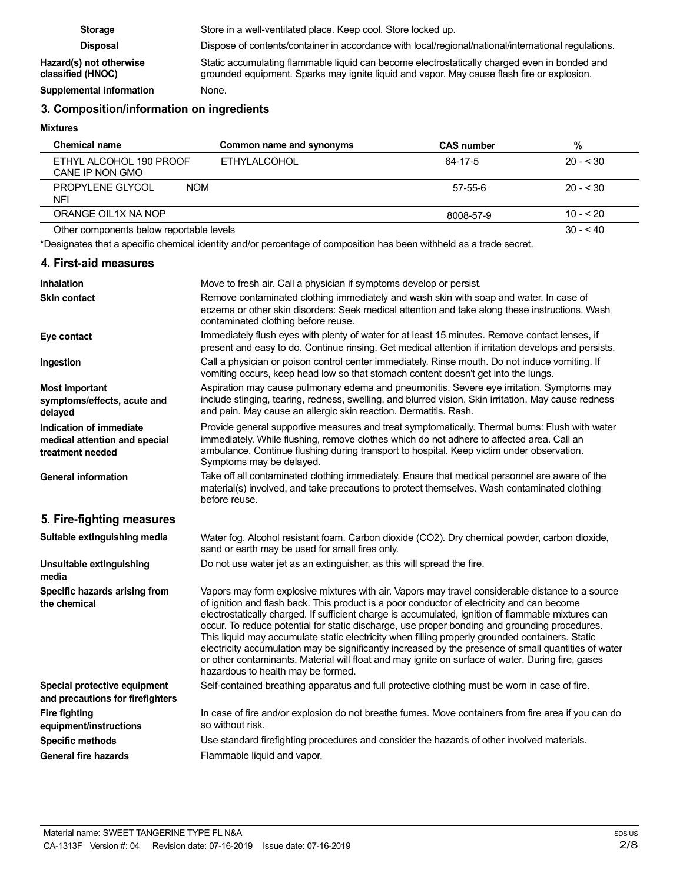| <b>Storage</b>                               | Store in a well-ventilated place. Keep cool. Store locked up.                                                                                                                              |
|----------------------------------------------|--------------------------------------------------------------------------------------------------------------------------------------------------------------------------------------------|
| <b>Disposal</b>                              | Dispose of contents/container in accordance with local/regional/national/international regulations.                                                                                        |
| Hazard(s) not otherwise<br>classified (HNOC) | Static accumulating flammable liquid can become electrostatically charged even in bonded and<br>grounded equipment. Sparks may ignite liquid and vapor. May cause flash fire or explosion. |
| Supplemental information                     | None.                                                                                                                                                                                      |

# **3. Composition/information on ingredients**

**Mixtures**

| Chemical name                                | Common name and synonyms | <b>CAS number</b> | %          |
|----------------------------------------------|--------------------------|-------------------|------------|
| ETHYL ALCOHOL 190 PROOF<br>CANE IP NON GMO   | <b>ETHYLALCOHOL</b>      | 64-17-5           | $20 - 530$ |
| PROPYLENE GLYCOL<br><b>NOM</b><br><b>NFI</b> |                          | 57-55-6           | $20 - 530$ |
| ORANGE OIL1X NA NOP                          |                          | 8008-57-9         | $10 - 520$ |
| Other components below reportable levels     |                          |                   | $30 - 40$  |

\*Designates that a specific chemical identity and/or percentage of composition has been withheld as a trade secret.

### **4. First-aid measures**

| <b>Inhalation</b>                                                            | Move to fresh air. Call a physician if symptoms develop or persist.                                                                                                                                                                                                                                                                                                                                                                                                                                                                                                                                                                                                                                                                                         |
|------------------------------------------------------------------------------|-------------------------------------------------------------------------------------------------------------------------------------------------------------------------------------------------------------------------------------------------------------------------------------------------------------------------------------------------------------------------------------------------------------------------------------------------------------------------------------------------------------------------------------------------------------------------------------------------------------------------------------------------------------------------------------------------------------------------------------------------------------|
| <b>Skin contact</b>                                                          | Remove contaminated clothing immediately and wash skin with soap and water. In case of<br>eczema or other skin disorders: Seek medical attention and take along these instructions. Wash<br>contaminated clothing before reuse.                                                                                                                                                                                                                                                                                                                                                                                                                                                                                                                             |
| Eye contact                                                                  | Immediately flush eyes with plenty of water for at least 15 minutes. Remove contact lenses, if<br>present and easy to do. Continue rinsing. Get medical attention if irritation develops and persists.                                                                                                                                                                                                                                                                                                                                                                                                                                                                                                                                                      |
| Ingestion                                                                    | Call a physician or poison control center immediately. Rinse mouth. Do not induce vomiting. If<br>vomiting occurs, keep head low so that stomach content doesn't get into the lungs.                                                                                                                                                                                                                                                                                                                                                                                                                                                                                                                                                                        |
| <b>Most important</b><br>symptoms/effects, acute and<br>delayed              | Aspiration may cause pulmonary edema and pneumonitis. Severe eye irritation. Symptoms may<br>include stinging, tearing, redness, swelling, and blurred vision. Skin irritation. May cause redness<br>and pain. May cause an allergic skin reaction. Dermatitis. Rash.                                                                                                                                                                                                                                                                                                                                                                                                                                                                                       |
| Indication of immediate<br>medical attention and special<br>treatment needed | Provide general supportive measures and treat symptomatically. Thermal burns: Flush with water<br>immediately. While flushing, remove clothes which do not adhere to affected area. Call an<br>ambulance. Continue flushing during transport to hospital. Keep victim under observation.<br>Symptoms may be delayed.                                                                                                                                                                                                                                                                                                                                                                                                                                        |
| <b>General information</b>                                                   | Take off all contaminated clothing immediately. Ensure that medical personnel are aware of the<br>material(s) involved, and take precautions to protect themselves. Wash contaminated clothing<br>before reuse.                                                                                                                                                                                                                                                                                                                                                                                                                                                                                                                                             |
| 5. Fire-fighting measures                                                    |                                                                                                                                                                                                                                                                                                                                                                                                                                                                                                                                                                                                                                                                                                                                                             |
| Suitable extinguishing media                                                 | Water fog. Alcohol resistant foam. Carbon dioxide (CO2). Dry chemical powder, carbon dioxide,<br>sand or earth may be used for small fires only.                                                                                                                                                                                                                                                                                                                                                                                                                                                                                                                                                                                                            |
| Unsuitable extinguishing<br>media                                            | Do not use water jet as an extinguisher, as this will spread the fire.                                                                                                                                                                                                                                                                                                                                                                                                                                                                                                                                                                                                                                                                                      |
| Specific hazards arising from<br>the chemical                                | Vapors may form explosive mixtures with air. Vapors may travel considerable distance to a source<br>of ignition and flash back. This product is a poor conductor of electricity and can become<br>electrostatically charged. If sufficient charge is accumulated, ignition of flammable mixtures can<br>occur. To reduce potential for static discharge, use proper bonding and grounding procedures.<br>This liquid may accumulate static electricity when filling properly grounded containers. Static<br>electricity accumulation may be significantly increased by the presence of small quantities of water<br>or other contaminants. Material will float and may ignite on surface of water. During fire, gases<br>hazardous to health may be formed. |
| Special protective equipment<br>and precautions for firefighters             | Self-contained breathing apparatus and full protective clothing must be worn in case of fire.                                                                                                                                                                                                                                                                                                                                                                                                                                                                                                                                                                                                                                                               |
| <b>Fire fighting</b><br>equipment/instructions                               | In case of fire and/or explosion do not breathe fumes. Move containers from fire area if you can do<br>so without risk.                                                                                                                                                                                                                                                                                                                                                                                                                                                                                                                                                                                                                                     |
| <b>Specific methods</b>                                                      | Use standard firefighting procedures and consider the hazards of other involved materials.                                                                                                                                                                                                                                                                                                                                                                                                                                                                                                                                                                                                                                                                  |
| <b>General fire hazards</b>                                                  | Flammable liquid and vapor.                                                                                                                                                                                                                                                                                                                                                                                                                                                                                                                                                                                                                                                                                                                                 |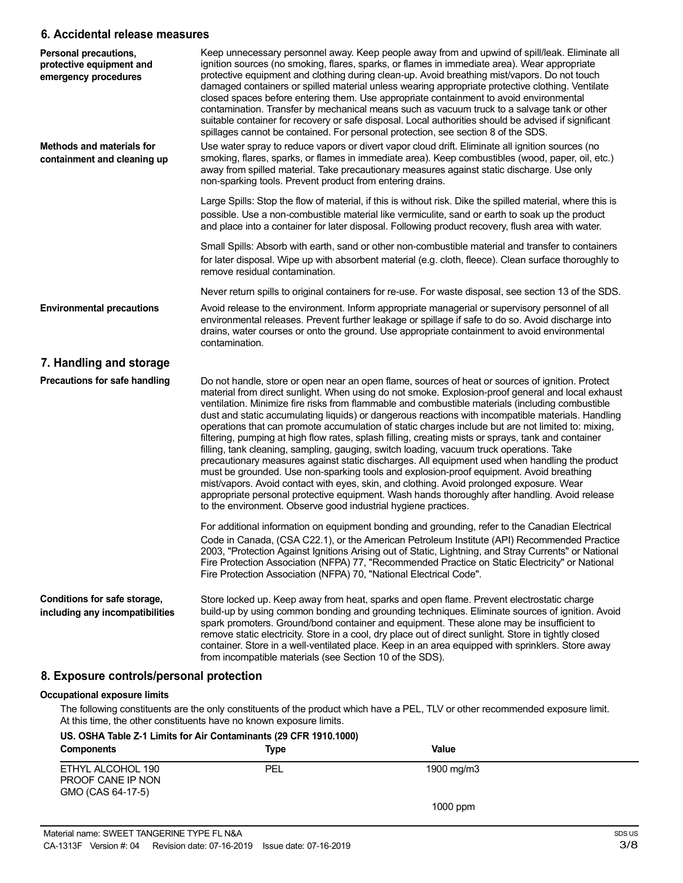### **6. Accidental release measures**

| Personal precautions,<br>protective equipment and<br>emergency procedures | Keep unnecessary personnel away. Keep people away from and upwind of spill/leak. Eliminate all<br>ignition sources (no smoking, flares, sparks, or flames in immediate area). Wear appropriate<br>protective equipment and clothing during clean-up. Avoid breathing mist/vapors. Do not touch<br>damaged containers or spilled material unless wearing appropriate protective clothing. Ventilate<br>closed spaces before entering them. Use appropriate containment to avoid environmental<br>contamination. Transfer by mechanical means such as vacuum truck to a salvage tank or other<br>suitable container for recovery or safe disposal. Local authorities should be advised if significant<br>spillages cannot be contained. For personal protection, see section 8 of the SDS.                                                                                                                                                                                                                                                                                                                                                                                                                                                                                                                                                                                                                                                                                                                                                                                                            |
|---------------------------------------------------------------------------|-----------------------------------------------------------------------------------------------------------------------------------------------------------------------------------------------------------------------------------------------------------------------------------------------------------------------------------------------------------------------------------------------------------------------------------------------------------------------------------------------------------------------------------------------------------------------------------------------------------------------------------------------------------------------------------------------------------------------------------------------------------------------------------------------------------------------------------------------------------------------------------------------------------------------------------------------------------------------------------------------------------------------------------------------------------------------------------------------------------------------------------------------------------------------------------------------------------------------------------------------------------------------------------------------------------------------------------------------------------------------------------------------------------------------------------------------------------------------------------------------------------------------------------------------------------------------------------------------------|
| <b>Methods and materials for</b><br>containment and cleaning up           | Use water spray to reduce vapors or divert vapor cloud drift. Eliminate all ignition sources (no<br>smoking, flares, sparks, or flames in immediate area). Keep combustibles (wood, paper, oil, etc.)<br>away from spilled material. Take precautionary measures against static discharge. Use only<br>non-sparking tools. Prevent product from entering drains.                                                                                                                                                                                                                                                                                                                                                                                                                                                                                                                                                                                                                                                                                                                                                                                                                                                                                                                                                                                                                                                                                                                                                                                                                                    |
|                                                                           | Large Spills: Stop the flow of material, if this is without risk. Dike the spilled material, where this is<br>possible. Use a non-combustible material like vermiculite, sand or earth to soak up the product<br>and place into a container for later disposal. Following product recovery, flush area with water.                                                                                                                                                                                                                                                                                                                                                                                                                                                                                                                                                                                                                                                                                                                                                                                                                                                                                                                                                                                                                                                                                                                                                                                                                                                                                  |
|                                                                           | Small Spills: Absorb with earth, sand or other non-combustible material and transfer to containers<br>for later disposal. Wipe up with absorbent material (e.g. cloth, fleece). Clean surface thoroughly to<br>remove residual contamination.                                                                                                                                                                                                                                                                                                                                                                                                                                                                                                                                                                                                                                                                                                                                                                                                                                                                                                                                                                                                                                                                                                                                                                                                                                                                                                                                                       |
|                                                                           | Never return spills to original containers for re-use. For waste disposal, see section 13 of the SDS.                                                                                                                                                                                                                                                                                                                                                                                                                                                                                                                                                                                                                                                                                                                                                                                                                                                                                                                                                                                                                                                                                                                                                                                                                                                                                                                                                                                                                                                                                               |
| <b>Environmental precautions</b>                                          | Avoid release to the environment. Inform appropriate managerial or supervisory personnel of all<br>environmental releases. Prevent further leakage or spillage if safe to do so. Avoid discharge into<br>drains, water courses or onto the ground. Use appropriate containment to avoid environmental<br>contamination.                                                                                                                                                                                                                                                                                                                                                                                                                                                                                                                                                                                                                                                                                                                                                                                                                                                                                                                                                                                                                                                                                                                                                                                                                                                                             |
| 7. Handling and storage                                                   |                                                                                                                                                                                                                                                                                                                                                                                                                                                                                                                                                                                                                                                                                                                                                                                                                                                                                                                                                                                                                                                                                                                                                                                                                                                                                                                                                                                                                                                                                                                                                                                                     |
| Precautions for safe handling                                             | Do not handle, store or open near an open flame, sources of heat or sources of ignition. Protect<br>material from direct sunlight. When using do not smoke. Explosion-proof general and local exhaust<br>ventilation. Minimize fire risks from flammable and combustible materials (including combustible<br>dust and static accumulating liquids) or dangerous reactions with incompatible materials. Handling<br>operations that can promote accumulation of static charges include but are not limited to: mixing,<br>filtering, pumping at high flow rates, splash filling, creating mists or sprays, tank and container<br>filling, tank cleaning, sampling, gauging, switch loading, vacuum truck operations. Take<br>precautionary measures against static discharges. All equipment used when handling the product<br>must be grounded. Use non-sparking tools and explosion-proof equipment. Avoid breathing<br>mist/vapors. Avoid contact with eyes, skin, and clothing. Avoid prolonged exposure. Wear<br>appropriate personal protective equipment. Wash hands thoroughly after handling. Avoid release<br>to the environment. Observe good industrial hygiene practices.<br>For additional information on equipment bonding and grounding, refer to the Canadian Electrical<br>Code in Canada, (CSA C22.1), or the American Petroleum Institute (API) Recommended Practice<br>2003, "Protection Against Ignitions Arising out of Static, Lightning, and Stray Currents" or National<br>Fire Protection Association (NFPA) 77, "Recommended Practice on Static Electricity" or National |
|                                                                           | Fire Protection Association (NFPA) 70, "National Electrical Code".                                                                                                                                                                                                                                                                                                                                                                                                                                                                                                                                                                                                                                                                                                                                                                                                                                                                                                                                                                                                                                                                                                                                                                                                                                                                                                                                                                                                                                                                                                                                  |
| Conditions for safe storage,<br>including any incompatibilities           | Store locked up. Keep away from heat, sparks and open flame. Prevent electrostatic charge<br>build-up by using common bonding and grounding techniques. Eliminate sources of ignition. Avoid<br>spark promoters. Ground/bond container and equipment. These alone may be insufficient to<br>remove static electricity. Store in a cool, dry place out of direct sunlight. Store in tightly closed<br>container. Store in a well-ventilated place. Keep in an area equipped with sprinklers. Store away<br>from incompatible materials (see Section 10 of the SDS).                                                                                                                                                                                                                                                                                                                                                                                                                                                                                                                                                                                                                                                                                                                                                                                                                                                                                                                                                                                                                                  |
| 8. Exposure controls/personal protection                                  |                                                                                                                                                                                                                                                                                                                                                                                                                                                                                                                                                                                                                                                                                                                                                                                                                                                                                                                                                                                                                                                                                                                                                                                                                                                                                                                                                                                                                                                                                                                                                                                                     |
| <b>Occupational exposure limits</b>                                       |                                                                                                                                                                                                                                                                                                                                                                                                                                                                                                                                                                                                                                                                                                                                                                                                                                                                                                                                                                                                                                                                                                                                                                                                                                                                                                                                                                                                                                                                                                                                                                                                     |

The following constituents are the only constituents of the product which have a PEL, TLV or other recommended exposure limit. At this time, the other constituents have no known exposure limits.

### **US. OSHA Table Z-1 Limits for Air Contaminants (29 CFR 1910.1000)**

| <b>Components</b>                                           | Type | Value      |  |
|-------------------------------------------------------------|------|------------|--|
| ETHYL ALCOHOL 190<br>PROOF CANE IP NON<br>GMO (CAS 64-17-5) | PEL  | 1900 mg/m3 |  |
|                                                             |      | 1000 ppm   |  |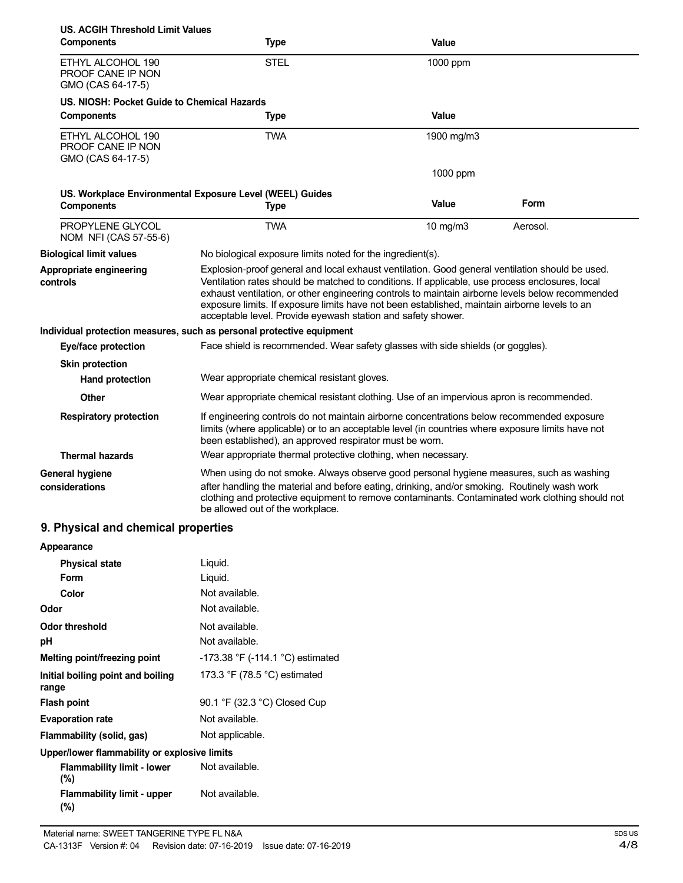| US. ACGIH Threshold Limit Values<br><b>Components</b>                 | <b>Type</b>                                                                                                                                                                                                                                                                                                                                                                                                                                                             | Value         |          |
|-----------------------------------------------------------------------|-------------------------------------------------------------------------------------------------------------------------------------------------------------------------------------------------------------------------------------------------------------------------------------------------------------------------------------------------------------------------------------------------------------------------------------------------------------------------|---------------|----------|
| ETHYL ALCOHOL 190<br>PROOF CANE IP NON<br>GMO (CAS 64-17-5)           | <b>STEL</b>                                                                                                                                                                                                                                                                                                                                                                                                                                                             | 1000 ppm      |          |
| US. NIOSH: Pocket Guide to Chemical Hazards                           |                                                                                                                                                                                                                                                                                                                                                                                                                                                                         |               |          |
| <b>Components</b>                                                     | <b>Type</b>                                                                                                                                                                                                                                                                                                                                                                                                                                                             | Value         |          |
| ETHYL ALCOHOL 190<br>PROOF CANE IP NON<br>GMO (CAS 64-17-5)           | <b>TWA</b>                                                                                                                                                                                                                                                                                                                                                                                                                                                              | 1900 mg/m3    |          |
|                                                                       |                                                                                                                                                                                                                                                                                                                                                                                                                                                                         | 1000 ppm      |          |
| US. Workplace Environmental Exposure Level (WEEL) Guides              |                                                                                                                                                                                                                                                                                                                                                                                                                                                                         |               |          |
| <b>Components</b>                                                     | <b>Type</b>                                                                                                                                                                                                                                                                                                                                                                                                                                                             | Value         | Form     |
| PROPYLENE GLYCOL<br>NOM NFI (CAS 57-55-6)                             | <b>TWA</b>                                                                                                                                                                                                                                                                                                                                                                                                                                                              | $10$ mg/m $3$ | Aerosol. |
| <b>Biological limit values</b>                                        | No biological exposure limits noted for the ingredient(s).                                                                                                                                                                                                                                                                                                                                                                                                              |               |          |
| Appropriate engineering<br>controls                                   | Explosion-proof general and local exhaust ventilation. Good general ventilation should be used.<br>Ventilation rates should be matched to conditions. If applicable, use process enclosures, local<br>exhaust ventilation, or other engineering controls to maintain airborne levels below recommended<br>exposure limits. If exposure limits have not been established, maintain airborne levels to an<br>acceptable level. Provide eyewash station and safety shower. |               |          |
| Individual protection measures, such as personal protective equipment |                                                                                                                                                                                                                                                                                                                                                                                                                                                                         |               |          |
| Eye/face protection                                                   | Face shield is recommended. Wear safety glasses with side shields (or goggles).                                                                                                                                                                                                                                                                                                                                                                                         |               |          |
| <b>Skin protection</b>                                                |                                                                                                                                                                                                                                                                                                                                                                                                                                                                         |               |          |
| <b>Hand protection</b>                                                | Wear appropriate chemical resistant gloves.                                                                                                                                                                                                                                                                                                                                                                                                                             |               |          |
| Other                                                                 | Wear appropriate chemical resistant clothing. Use of an impervious apron is recommended.                                                                                                                                                                                                                                                                                                                                                                                |               |          |
| <b>Respiratory protection</b>                                         | If engineering controls do not maintain airborne concentrations below recommended exposure<br>limits (where applicable) or to an acceptable level (in countries where exposure limits have not<br>been established), an approved respirator must be worn.                                                                                                                                                                                                               |               |          |
| <b>Thermal hazards</b>                                                | Wear appropriate thermal protective clothing, when necessary.                                                                                                                                                                                                                                                                                                                                                                                                           |               |          |
| <b>General hygiene</b><br>considerations                              | When using do not smoke. Always observe good personal hygiene measures, such as washing<br>after handling the material and before eating, drinking, and/or smoking. Routinely wash work<br>clothing and protective equipment to remove contaminants. Contaminated work clothing should not<br>be allowed out of the workplace.                                                                                                                                          |               |          |

## **9. Physical and chemical properties**

| Appearance                                   |                                                |
|----------------------------------------------|------------------------------------------------|
| <b>Physical state</b>                        | Liquid.                                        |
| Form                                         | Liquid.                                        |
| Color                                        | Not available.                                 |
| Odor                                         | Not available.                                 |
| <b>Odor threshold</b>                        | Not available.                                 |
| рH                                           | Not available.                                 |
| Melting point/freezing point                 | $-173.38$ °F ( $-114.1$ °C) estimated          |
| Initial boiling point and boiling<br>range   | 173.3 $\degree$ F (78.5 $\degree$ C) estimated |
| <b>Flash point</b>                           | 90.1 °F (32.3 °C) Closed Cup                   |
| <b>Evaporation rate</b>                      | Not available.                                 |
| Flammability (solid, gas)                    | Not applicable.                                |
| Upper/lower flammability or explosive limits |                                                |
| <b>Flammability limit - lower</b><br>$(\% )$ | Not available.                                 |
| <b>Flammability limit - upper</b><br>(%)     | Not available.                                 |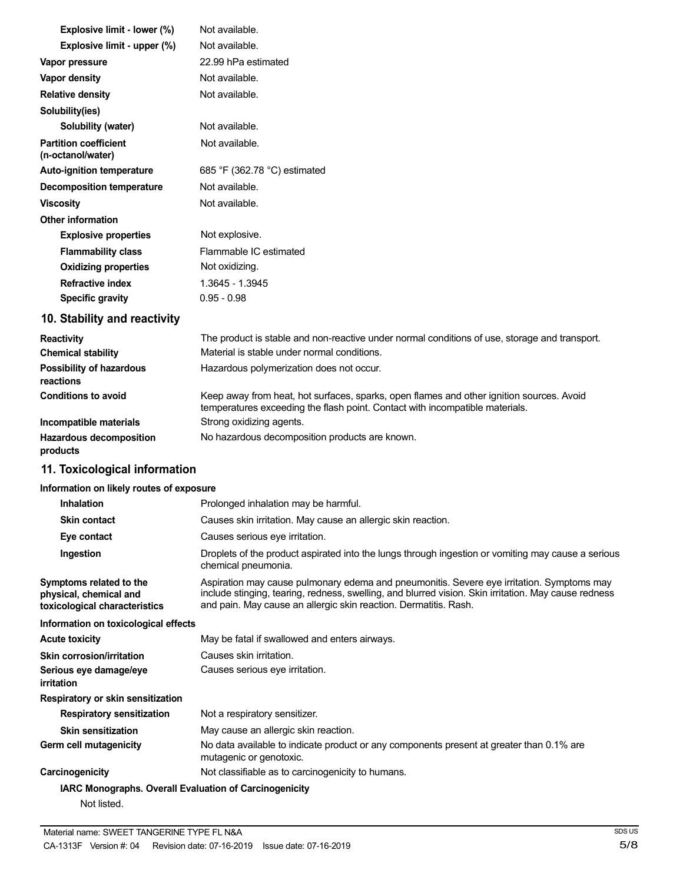| Explosive limit - lower (%)                       | Not available.               |
|---------------------------------------------------|------------------------------|
| Explosive limit - upper (%)                       | Not available.               |
| Vapor pressure                                    | 22.99 hPa estimated          |
| Vapor density                                     | Not available.               |
| <b>Relative density</b>                           | Not available.               |
| Solubility(ies)                                   |                              |
| Solubility (water)                                | Not available.               |
| <b>Partition coefficient</b><br>(n-octanol/water) | Not available.               |
| <b>Auto-ignition temperature</b>                  | 685 °F (362.78 °C) estimated |
| Decomposition temperature                         | Not available.               |
| <b>Viscosity</b>                                  | Not available.               |
| <b>Other information</b>                          |                              |
| <b>Explosive properties</b>                       | Not explosive.               |
| <b>Flammability class</b>                         | Flammable IC estimated       |
| <b>Oxidizing properties</b>                       | Not oxidizing.               |
| <b>Refractive index</b>                           | 1.3645 - 1.3945              |
| <b>Specific gravity</b>                           | $0.95 - 0.98$                |

# **10. Stability and reactivity**

| <b>Reactivity</b>                            | The product is stable and non-reactive under normal conditions of use, storage and transport.                                                                            |
|----------------------------------------------|--------------------------------------------------------------------------------------------------------------------------------------------------------------------------|
| <b>Chemical stability</b>                    | Material is stable under normal conditions.                                                                                                                              |
| <b>Possibility of hazardous</b><br>reactions | Hazardous polymerization does not occur.                                                                                                                                 |
| <b>Conditions to avoid</b>                   | Keep away from heat, hot surfaces, sparks, open flames and other ignition sources. Avoid<br>temperatures exceeding the flash point. Contact with incompatible materials. |
| Incompatible materials                       | Strong oxidizing agents.                                                                                                                                                 |
| <b>Hazardous decomposition</b><br>products   | No hazardous decomposition products are known.                                                                                                                           |

# **11. Toxicological information**

## **Information on likely routes of exposure**

| <b>Inhalation</b>                                                                  | Prolonged inhalation may be harmful.                                                                                                                                                                                                                                  |
|------------------------------------------------------------------------------------|-----------------------------------------------------------------------------------------------------------------------------------------------------------------------------------------------------------------------------------------------------------------------|
| <b>Skin contact</b>                                                                | Causes skin irritation. May cause an allergic skin reaction.                                                                                                                                                                                                          |
| Eye contact                                                                        | Causes serious eye irritation.                                                                                                                                                                                                                                        |
| Ingestion                                                                          | Droplets of the product aspirated into the lungs through ingestion or vomiting may cause a serious<br>chemical pneumonia.                                                                                                                                             |
| Symptoms related to the<br>physical, chemical and<br>toxicological characteristics | Aspiration may cause pulmonary edema and pneumonitis. Severe eye irritation. Symptoms may<br>include stinging, tearing, redness, swelling, and blurred vision. Skin irritation. May cause redness<br>and pain. May cause an allergic skin reaction. Dermatitis. Rash. |
| Information on toxicological effects                                               |                                                                                                                                                                                                                                                                       |
| Acute toxicity                                                                     | May be fatal if swallowed and enters airways.                                                                                                                                                                                                                         |
| <b>Skin corrosion/irritation</b>                                                   | Causes skin irritation.                                                                                                                                                                                                                                               |
| Serious eye damage/eye<br>irritation                                               | Causes serious eye irritation.                                                                                                                                                                                                                                        |
| Respiratory or skin sensitization                                                  |                                                                                                                                                                                                                                                                       |
| <b>Respiratory sensitization</b>                                                   | Not a respiratory sensitizer.                                                                                                                                                                                                                                         |
| <b>Skin sensitization</b>                                                          | May cause an allergic skin reaction.                                                                                                                                                                                                                                  |
| Germ cell mutagenicity                                                             | No data available to indicate product or any components present at greater than 0.1% are<br>mutagenic or genotoxic.                                                                                                                                                   |
| <b>Carcinogenicity</b>                                                             | Not classifiable as to carcinogenicity to humans.                                                                                                                                                                                                                     |
| <b>IARC Monographs. Overall Evaluation of Carcinogenicity</b>                      |                                                                                                                                                                                                                                                                       |
| Not listed.                                                                        |                                                                                                                                                                                                                                                                       |

Material name: SWEET TANGERINE TYPE FL N&A CA-1313F Version #: 04 Revision date: 07-16-2019 Issue date: 07-16-2019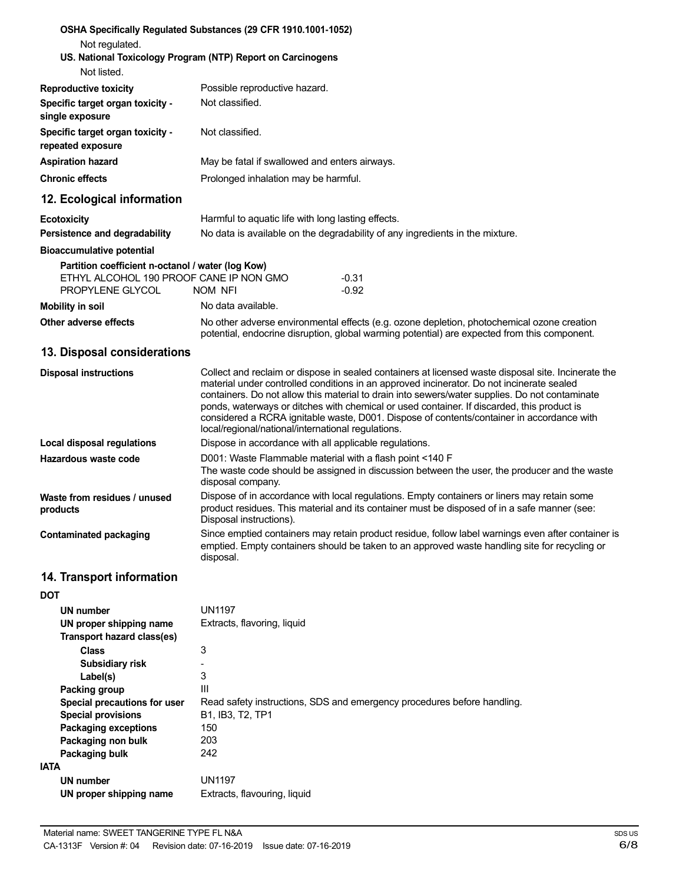| Not regulated.                                                                                                   | OSHA Specifically Regulated Substances (29 CFR 1910.1001-1052)                                                                                                                                                                                                                                                                                                                                                                                                                                                                                      |  |
|------------------------------------------------------------------------------------------------------------------|-----------------------------------------------------------------------------------------------------------------------------------------------------------------------------------------------------------------------------------------------------------------------------------------------------------------------------------------------------------------------------------------------------------------------------------------------------------------------------------------------------------------------------------------------------|--|
| Not listed.                                                                                                      | US. National Toxicology Program (NTP) Report on Carcinogens                                                                                                                                                                                                                                                                                                                                                                                                                                                                                         |  |
| <b>Reproductive toxicity</b>                                                                                     | Possible reproductive hazard.                                                                                                                                                                                                                                                                                                                                                                                                                                                                                                                       |  |
| Specific target organ toxicity -<br>single exposure                                                              | Not classified.                                                                                                                                                                                                                                                                                                                                                                                                                                                                                                                                     |  |
| Specific target organ toxicity -<br>repeated exposure                                                            | Not classified.                                                                                                                                                                                                                                                                                                                                                                                                                                                                                                                                     |  |
| <b>Aspiration hazard</b>                                                                                         | May be fatal if swallowed and enters airways.                                                                                                                                                                                                                                                                                                                                                                                                                                                                                                       |  |
| <b>Chronic effects</b>                                                                                           | Prolonged inhalation may be harmful.                                                                                                                                                                                                                                                                                                                                                                                                                                                                                                                |  |
| 12. Ecological information                                                                                       |                                                                                                                                                                                                                                                                                                                                                                                                                                                                                                                                                     |  |
| <b>Ecotoxicity</b>                                                                                               | Harmful to aquatic life with long lasting effects.                                                                                                                                                                                                                                                                                                                                                                                                                                                                                                  |  |
| Persistence and degradability                                                                                    | No data is available on the degradability of any ingredients in the mixture.                                                                                                                                                                                                                                                                                                                                                                                                                                                                        |  |
| <b>Bioaccumulative potential</b>                                                                                 |                                                                                                                                                                                                                                                                                                                                                                                                                                                                                                                                                     |  |
| Partition coefficient n-octanol / water (log Kow)<br>ETHYL ALCOHOL 190 PROOF CANE IP NON GMO<br>PROPYLENE GLYCOL | $-0.31$<br>$-0.92$<br>NOM NFI                                                                                                                                                                                                                                                                                                                                                                                                                                                                                                                       |  |
| <b>Mobility in soil</b>                                                                                          | No data available.                                                                                                                                                                                                                                                                                                                                                                                                                                                                                                                                  |  |
| Other adverse effects                                                                                            | No other adverse environmental effects (e.g. ozone depletion, photochemical ozone creation<br>potential, endocrine disruption, global warming potential) are expected from this component.                                                                                                                                                                                                                                                                                                                                                          |  |
| 13. Disposal considerations                                                                                      |                                                                                                                                                                                                                                                                                                                                                                                                                                                                                                                                                     |  |
| <b>Disposal instructions</b>                                                                                     | Collect and reclaim or dispose in sealed containers at licensed waste disposal site. Incinerate the<br>material under controlled conditions in an approved incinerator. Do not incinerate sealed<br>containers. Do not allow this material to drain into sewers/water supplies. Do not contaminate<br>ponds, waterways or ditches with chemical or used container. If discarded, this product is<br>considered a RCRA ignitable waste, D001. Dispose of contents/container in accordance with<br>local/regional/national/international regulations. |  |
| <b>Local disposal regulations</b>                                                                                | Dispose in accordance with all applicable regulations.                                                                                                                                                                                                                                                                                                                                                                                                                                                                                              |  |
| Hazardous waste code                                                                                             | D001: Waste Flammable material with a flash point <140 F<br>The waste code should be assigned in discussion between the user, the producer and the waste<br>disposal company.                                                                                                                                                                                                                                                                                                                                                                       |  |
| Waste from residues / unused<br>products                                                                         | Dispose of in accordance with local regulations. Empty containers or liners may retain some<br>product residues. This material and its container must be disposed of in a safe manner (see:<br>Disposal instructions).                                                                                                                                                                                                                                                                                                                              |  |
| <b>Contaminated packaging</b>                                                                                    | Since emptied containers may retain product residue, follow label warnings even after container is<br>emptied. Empty containers should be taken to an approved waste handling site for recycling or<br>disposal.                                                                                                                                                                                                                                                                                                                                    |  |
| 14. Transport information                                                                                        |                                                                                                                                                                                                                                                                                                                                                                                                                                                                                                                                                     |  |
| <b>DOT</b>                                                                                                       |                                                                                                                                                                                                                                                                                                                                                                                                                                                                                                                                                     |  |
| UN number                                                                                                        | <b>UN1197</b>                                                                                                                                                                                                                                                                                                                                                                                                                                                                                                                                       |  |
| UN proper shipping name<br>Transport hazard class(es)                                                            | Extracts, flavoring, liquid                                                                                                                                                                                                                                                                                                                                                                                                                                                                                                                         |  |
| <b>Class</b><br>Subsidiary risk<br>Label(s)<br>Packing group                                                     | 3<br>3<br>Ш                                                                                                                                                                                                                                                                                                                                                                                                                                                                                                                                         |  |
| Special precautions for user<br><b>Special provisions</b>                                                        | Read safety instructions, SDS and emergency procedures before handling.<br>B1, IB3, T2, TP1                                                                                                                                                                                                                                                                                                                                                                                                                                                         |  |
| <b>Packaging exceptions</b><br>Packaging non bulk                                                                | 150<br>203                                                                                                                                                                                                                                                                                                                                                                                                                                                                                                                                          |  |
| Packaging bulk<br><b>IATA</b>                                                                                    | 242                                                                                                                                                                                                                                                                                                                                                                                                                                                                                                                                                 |  |
| <b>UN number</b><br>UN proper shipping name                                                                      | <b>UN1197</b><br>Extracts, flavouring, liquid                                                                                                                                                                                                                                                                                                                                                                                                                                                                                                       |  |
|                                                                                                                  |                                                                                                                                                                                                                                                                                                                                                                                                                                                                                                                                                     |  |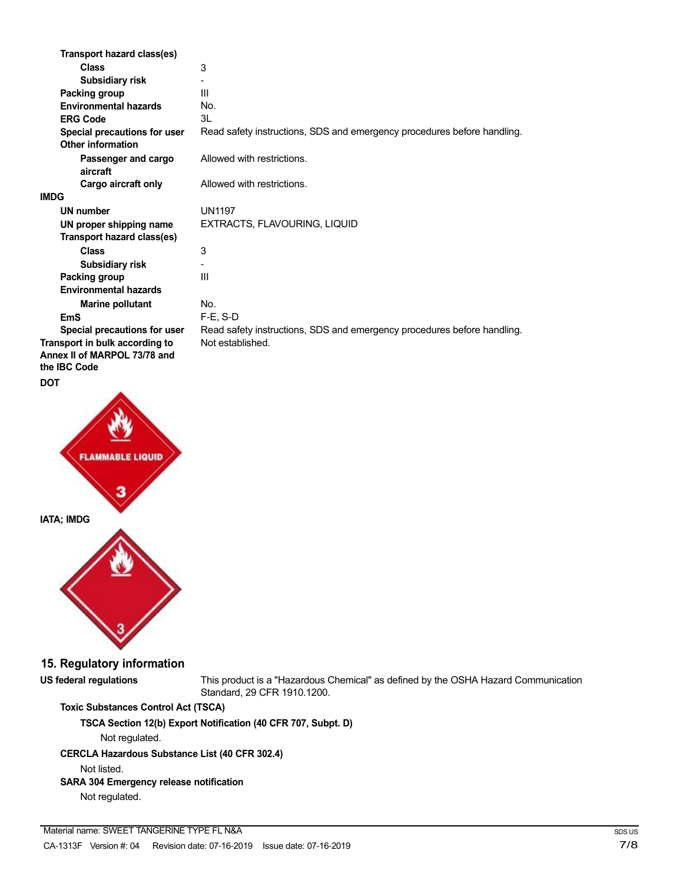| Transport hazard class(es)                          |                                                                         |
|-----------------------------------------------------|-------------------------------------------------------------------------|
| <b>Class</b>                                        | 3                                                                       |
| <b>Subsidiary risk</b>                              |                                                                         |
| Packing group                                       | Ш                                                                       |
| <b>Environmental hazards</b>                        | No.                                                                     |
| <b>ERG Code</b>                                     | 3L                                                                      |
| Special precautions for user<br>Other information   | Read safety instructions, SDS and emergency procedures before handling. |
| Passenger and cargo<br>aircraft                     | Allowed with restrictions.                                              |
| Cargo aircraft only                                 | Allowed with restrictions.                                              |
| <b>IMDG</b>                                         |                                                                         |
| <b>UN number</b>                                    | <b>UN1197</b>                                                           |
| UN proper shipping name                             | EXTRACTS, FLAVOURING, LIQUID                                            |
| Transport hazard class(es)                          |                                                                         |
| <b>Class</b>                                        | 3                                                                       |
| <b>Subsidiary risk</b>                              |                                                                         |
| Packing group                                       | Ш                                                                       |
| <b>Environmental hazards</b>                        |                                                                         |
| <b>Marine pollutant</b>                             | No.                                                                     |
| EmS                                                 | $F-E. S-D$                                                              |
| Special precautions for user                        | Read safety instructions, SDS and emergency procedures before handling. |
| Transport in bulk according to                      | Not established.                                                        |
| Annex II of MARPOL 73/78 and<br>the <b>IBC</b> Code |                                                                         |
| <b>DOT</b>                                          |                                                                         |



**15. Regulatory information**

**US federal regulations** This product is a "Hazardous Chemical" as defined by the OSHA Hazard Communication Standard, 29 CFR 1910.1200.

### **Toxic Substances Control Act (TSCA)**

**TSCA Section 12(b) Export Notification (40 CFR 707, Subpt. D)**

Not regulated.

### **CERCLA Hazardous Substance List (40 CFR 302.4)**

Not listed.

### **SARA 304 Emergency release notification**

Not regulated.